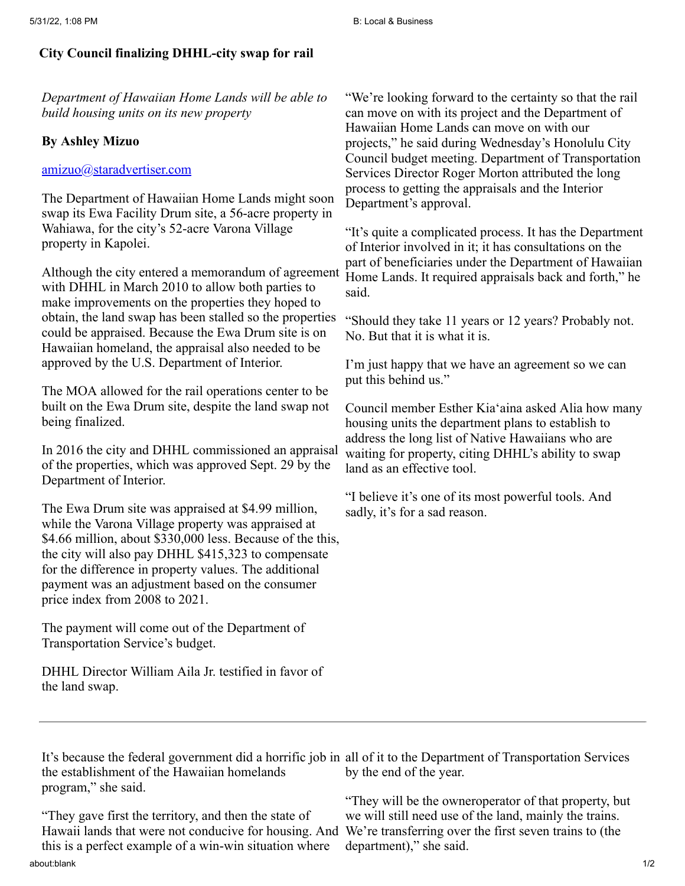## **City Council finalizing DHHL-city swap for rail**

*Department of Hawaiian Home Lands will be able to build housing units on its new property*

## **By Ashley Mizuo**

## [amizuo@staradvertiser.com](mailto:amizuo@staradvertiser.com)

The Department of Hawaiian Home Lands might soon swap its Ewa Facility Drum site, a 56-acre property in Wahiawa, for the city's 52-acre Varona Village property in Kapolei.

Although the city entered a memorandum of agreement with DHHL in March 2010 to allow both parties to make improvements on the properties they hoped to obtain, the land swap has been stalled so the properties could be appraised. Because the Ewa Drum site is on Hawaiian homeland, the appraisal also needed to be approved by the U.S. Department of Interior.

The MOA allowed for the rail operations center to be built on the Ewa Drum site, despite the land swap not being finalized.

In 2016 the city and DHHL commissioned an appraisal of the properties, which was approved Sept. 29 by the Department of Interior.

The Ewa Drum site was appraised at \$4.99 million, while the Varona Village property was appraised at \$4.66 million, about \$330,000 less. Because of the this, the city will also pay DHHL \$415,323 to compensate for the difference in property values. The additional payment was an adjustment based on the consumer price index from 2008 to 2021.

The payment will come out of the Department of Transportation Service's budget.

DHHL Director William Aila Jr. testified in favor of the land swap.

"We're looking forward to the certainty so that the rail can move on with its project and the Department of Hawaiian Home Lands can move on with our projects," he said during Wednesday's Honolulu City Council budget meeting. Department of Transportation Services Director Roger Morton attributed the long process to getting the appraisals and the Interior Department's approval.

"It's quite a complicated process. It has the Department of Interior involved in it; it has consultations on the part of beneficiaries under the Department of Hawaiian Home Lands. It required appraisals back and forth," he said.

"Should they take 11 years or 12 years? Probably not. No. But that it is what it is.

I'm just happy that we have an agreement so we can put this behind us."

Council member Esther Kia'aina asked Alia how many housing units the department plans to establish to address the long list of Native Hawaiians who are waiting for property, citing DHHL's ability to swap land as an effective tool.

"I believe it's one of its most powerful tools. And sadly, it's for a sad reason.

It's because the federal government did a horrific job in all of it to the Department of Transportation Services the establishment of the Hawaiian homelands program," she said. by the end of the year.

about:blank 1/2 "They gave first the territory, and then the state of Hawaii lands that were not conducive for housing. And this is a perfect example of a win-win situation where

"They will be the owneroperator of that property, but we will still need use of the land, mainly the trains. We're transferring over the first seven trains to (the department)," she said.